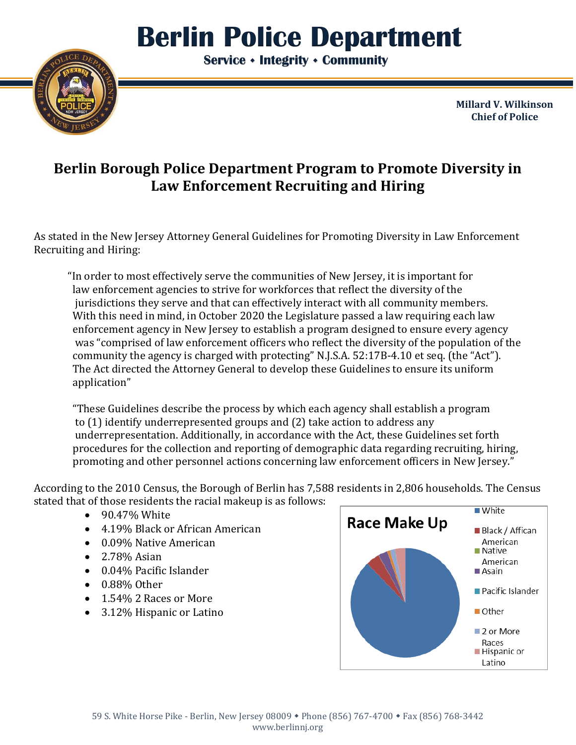## I **Berlin Police Department**

 **Service Integrity Community**



**Millard V. Wilkinson Chief of Police**

## **Berlin Borough Police Department Program to Promote Diversity in Law Enforcement Recruiting and Hiring**

As stated in the New Jersey Attorney General Guidelines for Promoting Diversity in Law Enforcement Recruiting and Hiring:

"In order to most effectively serve the communities of New Jersey, it is important for law enforcement agencies to strive for workforces that reflect the diversity of the jurisdictions they serve and that can effectively interact with all community members. With this need in mind, in October 2020 the Legislature passed a law requiring each law enforcement agency in New Jersey to establish a program designed to ensure every agency was "comprised of law enforcement officers who reflect the diversity of the population of the community the agency is charged with protecting" N.J.S.A. 52:17B-4.10 et seq. (the "Act"). The Act directed the Attorney General to develop these Guidelines to ensure its uniform application"

"These Guidelines describe the process by which each agency shall establish a program to (1) identify underrepresented groups and (2) take action to address any underrepresentation. Additionally, in accordance with the Act, these Guidelines set forth procedures for the collection and reporting of demographic data regarding recruiting, hiring, promoting and other personnel actions concerning law enforcement officers in New Jersey."

According to the 2010 Census, the Borough of Berlin has 7,588 residents in 2,806 households. The Census stated that of those residents the racial makeup is as follows:

- 90.47% White
- 4.19% Black or African American
- 0.09% Native American
- 2.78% Asian
- 0.04% Pacific Islander
- 0.88% Other
- 1.54% 2 Races or More
- 3.12% Hispanic or Latino